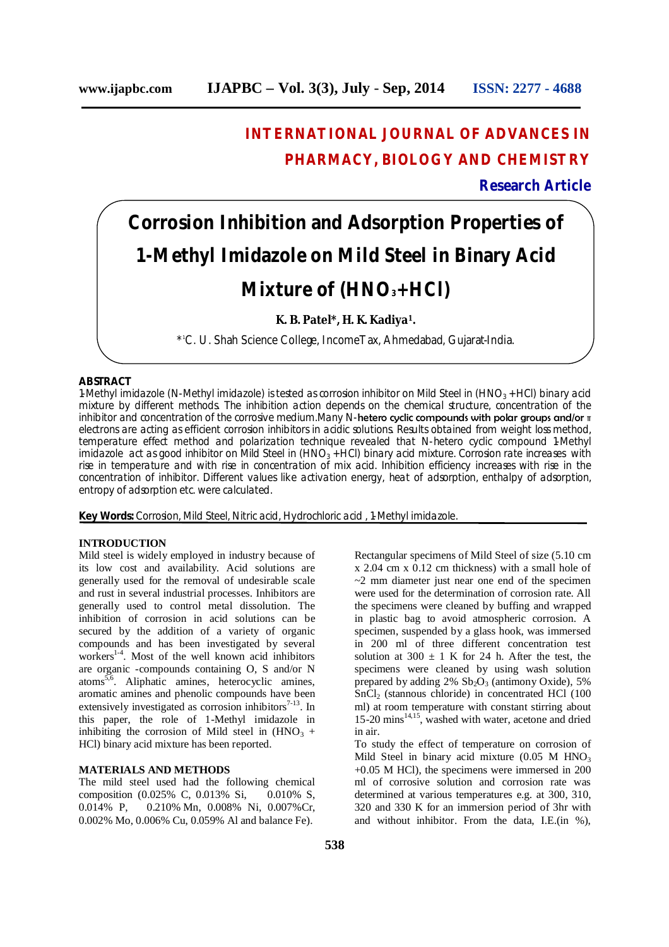## **INTERNATIONAL JOURNAL OF ADVANCES IN PHARMACY, BIOLOGY AND CHEMISTRY**

**Research Article**

# **Corrosion Inhibition and Adsorption Properties of 1-Methyl Imidazole on Mild Steel in Binary Acid Mixture of (HNO3+HCl)**

### **K. B. Patel\*, H. K. Kadiya1.**

\* <sup>1</sup>C. U. Shah Science College, IncomeTax, Ahmedabad, Gujarat-India.

#### **ABSTRACT**

1-Methyl imidazole (N-Methyl imidazole) is tested as corrosion inhibitor on Mild Steel in  $(HNO<sub>3</sub> + HCl)$  binary acid mixture by different methods. The inhibition action depends on the chemical structure, concentration of the inhibitor and concentration of the corrosive medium.Many N-hetero cyclic compounds with polar groups and/or π electrons are acting as efficient corrosion inhibitors in acidic solutions. Results obtained from weight loss method, temperature effect method and polarization technique revealed that N-hetero cyclic compound 1-Methyl imidazole act as good inhibitor on Mild Steel in  $(HNO<sub>3</sub> + HCl)$  binary acid mixture. Corrosion rate increases with rise in temperature and with rise in concentration of mix acid. Inhibition efficiency increases with rise in the concentration of inhibitor. Different values like activation energy, heat of adsorption, enthalpy of adsorption, entropy of adsorption etc. were calculated.

**Key Words:** Corrosion, Mild Steel, Nitric acid, Hydrochloric acid , 1-Methyl imidazole.

#### **INTRODUCTION**

Mild steel is widely employed in industry because of its low cost and availability. Acid solutions are generally used for the removal of undesirable scale and rust in several industrial processes. Inhibitors are generally used to control metal dissolution. The inhibition of corrosion in acid solutions can be secured by the addition of a variety of organic compounds and has been investigated by several workers 1-4 . Most of the well known acid inhibitors are organic -compounds containing O, S and/or N atoms<sup>5,6</sup>. Aliphatic amines, heterocyclic amines, aromatic amines and phenolic compounds have been extensively investigated as corrosion inhibitors $7-13$ . In this paper, the role of 1-Methyl imidazole in inhibiting the corrosion of Mild steel in  $(HNO<sub>3</sub> +$ HCl) binary acid mixture has been reported.

#### **MATERIALS AND METHODS**

The mild steel used had the following chemical composition (0.025% C, 0.013% Si, 0.010% S, 0.014% P, 0.210% Mn, 0.008% Ni, 0.007%Cr, 0.002% Mo, 0.006% Cu, 0.059% Al and balance Fe).

**538**

Rectangular specimens of Mild Steel of size (5.10 cm x 2.04 cm x 0.12 cm thickness) with a small hole of  $\sim$ 2 mm diameter just near one end of the specimen were used for the determination of corrosion rate. All the specimens were cleaned by buffing and wrapped in plastic bag to avoid atmospheric corrosion. A specimen, suspended by a glass hook, was immersed in 200 ml of three different concentration test solution at 300  $\pm$  1 K for 24 h. After the test, the specimens were cleaned by using wash solution prepared by adding  $2\%$  Sb<sub>2</sub>O<sub>3</sub> (antimony Oxide), 5%  $\overline{\text{SnCl}}_2$  (stannous chloride) in concentrated HCl (100 ml) at room temperature with constant stirring about 15-20 mins 14,15 , washed with water, acetone and dried in air.

To study the effect of temperature on corrosion of Mild Steel in binary acid mixture  $(0.05 \text{ M HNO}_3)$ +0.05 M HCl), the specimens were immersed in 200 ml of corrosive solution and corrosion rate was determined at various temperatures e.g. at 300, 310, 320 and 330 K for an immersion period of 3hr with and without inhibitor. From the data, I.E.(in %),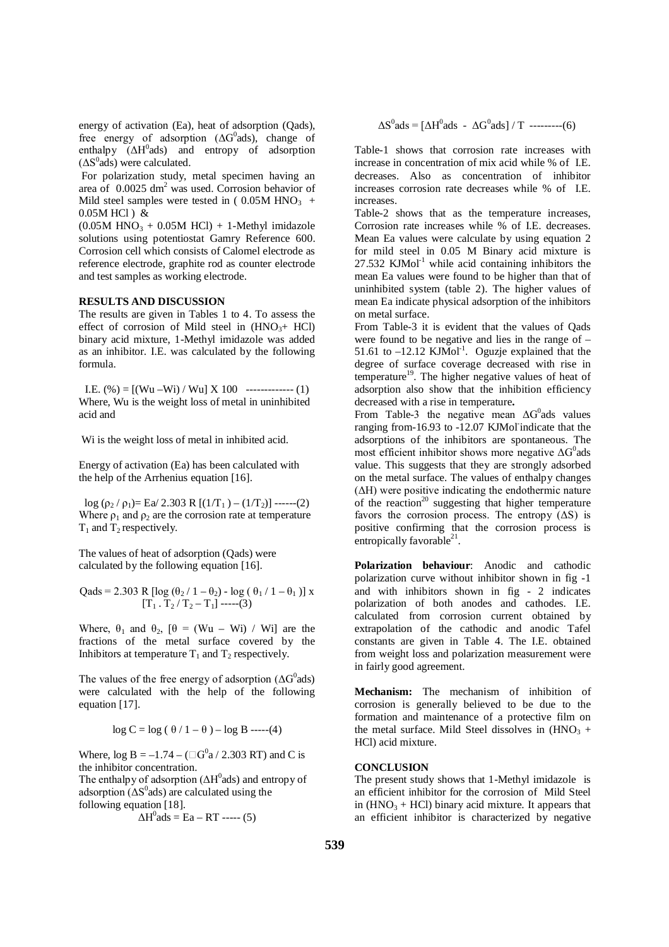energy of activation (Ea), heat of adsorption (Qads), free energy of adsorption  $( \Delta G^0$ ads), change of enthalpy (ΔH<sup>0</sup>ads) and entropy of adsorption  $(\Delta S^0$ ads) were calculated.

For polarization study, metal specimen having an area of  $0.0025 \text{ dm}^2$  was used. Corrosion behavior of Mild steel samples were tested in  $(0.05M HNO<sub>3</sub> +$ 0.05M HCl ) &

 $(0.05M HNO<sub>3</sub> + 0.05M HCl) + 1-Methyl imidazole$ solutions using potentiostat Gamry Reference 600. Corrosion cell which consists of Calomel electrode as reference electrode, graphite rod as counter electrode and test samples as working electrode.

#### **RESULTS AND DISCUSSION**

The results are given in Tables 1 to 4. To assess the effect of corrosion of Mild steel in  $(HNO<sub>3</sub>+ HCl)$ binary acid mixture, 1-Methyl imidazole was added as an inhibitor. I.E. was calculated by the following formula.

I.E.  $(\% ) = [(Wu - Wi) / Wu] X 100$  ------------- (1) Where, Wu is the weight loss of metal in uninhibited acid and

Wi is the weight loss of metal in inhibited acid.

Energy of activation (Ea) has been calculated with the help of the Arrhenius equation [16].

log ( $\rho_2 / \rho_1$ )= Ea/ 2.303 R [( $1/T_1$ ) – ( $1/T_2$ )] ------(2) Where  $\rho_1$  and  $\rho_2$  are the corrosion rate at temperature  $T_1$  and  $T_2$  respectively.

The values of heat of adsorption (Qads) were calculated by the following equation [16].

Qads = 2.303 R [log (
$$
\theta_2 / 1 - \theta_2
$$
) - log ( $\theta_1 / 1 - \theta_1$ )] x  
[T<sub>1</sub> . T<sub>2</sub> / T<sub>2</sub> - T<sub>1</sub>] ----(3)

Where,  $\theta_1$  and  $\theta_2$ ,  $[\theta = (Wu - Wi) / Wi]$  are the fractions of the metal surface covered by the Inhibitors at temperature  $T_1$  and  $T_2$  respectively.

The values of the free energy of adsorption  $(\Delta G^0$ ads) were calculated with the help of the following equation [17].

$$
\log C = \log ( \theta / 1 - \theta ) - \log B \text{ ---}(4)
$$

Where,  $\log B = -1.74 - (\Box G^0 a / 2.303 \text{ RT})$  and C is the inhibitor concentration.

The enthalpy of adsorption  $( \Delta H^0$ ads) and entropy of adsorption ( $\Delta S^0$ ads) are calculated using the following equation [18].

$$
\Delta H^0
$$
ads = Ea - RT --- (5)

$$
\Delta S^0 \text{ads} = [\Delta H^0 \text{ads} - \Delta G^0 \text{ads}] / T
$$
 -------(6)

Table-1 shows that corrosion rate increases with increase in concentration of mix acid while % of I.E. decreases. Also as concentration of inhibitor increases corrosion rate decreases while % of I.E. increases.

Table-2 shows that as the temperature increases, Corrosion rate increases while % of I.E. decreases. Mean Ea values were calculate by using equation 2 for mild steel in 0.05 M Binary acid mixture is  $27.532$  KJMol<sup>-1</sup> while acid containing inhibitors the mean Ea values were found to be higher than that of uninhibited system (table 2). The higher values of mean Ea indicate physical adsorption of the inhibitors on metal surface.

From Table-3 it is evident that the values of Qads were found to be negative and lies in the range of – 51.61 to  $-12.12$  KJMol<sup>-1</sup>. Oguzje explained that the degree of surface coverage decreased with rise in temperature<sup>19</sup>. The higher negative values of heat of adsorption also show that the inhibition efficiency decreased with a rise in temperature**.**

From Table-3 the negative mean  $\Delta G^0$ ads values ranging from-16.93 to -12.07 KJMol indicate that the adsorptions of the inhibitors are spontaneous. The most efficient inhibitor shows more negative  $\Delta G^0$ ads value. This suggests that they are strongly adsorbed on the metal surface. The values of enthalpy changes (ΔH) were positive indicating the endothermic nature of the reaction<sup>20</sup> suggesting that higher temperature favors the corrosion process. The entropy  $(\Delta S)$  is positive confirming that the corrosion process is entropically favorable<sup>21</sup>.

**Polarization behaviour**: Anodic and cathodic polarization curve without inhibitor shown in fig -1 and with inhibitors shown in fig - 2 indicates polarization of both anodes and cathodes. I.E. calculated from corrosion current obtained by extrapolation of the cathodic and anodic Tafel constants are given in Table 4. The I.E. obtained from weight loss and polarization measurement were in fairly good agreement.

**Mechanism:** The mechanism of inhibition of corrosion is generally believed to be due to the formation and maintenance of a protective film on the metal surface. Mild Steel dissolves in  $(HNO<sub>3</sub> +$ HCl) acid mixture.

#### **CONCLUSION**

The present study shows that 1-Methyl imidazole is an efficient inhibitor for the corrosion of Mild Steel in  $(HNO<sub>3</sub> + HCl)$  binary acid mixture. It appears that an efficient inhibitor is characterized by negative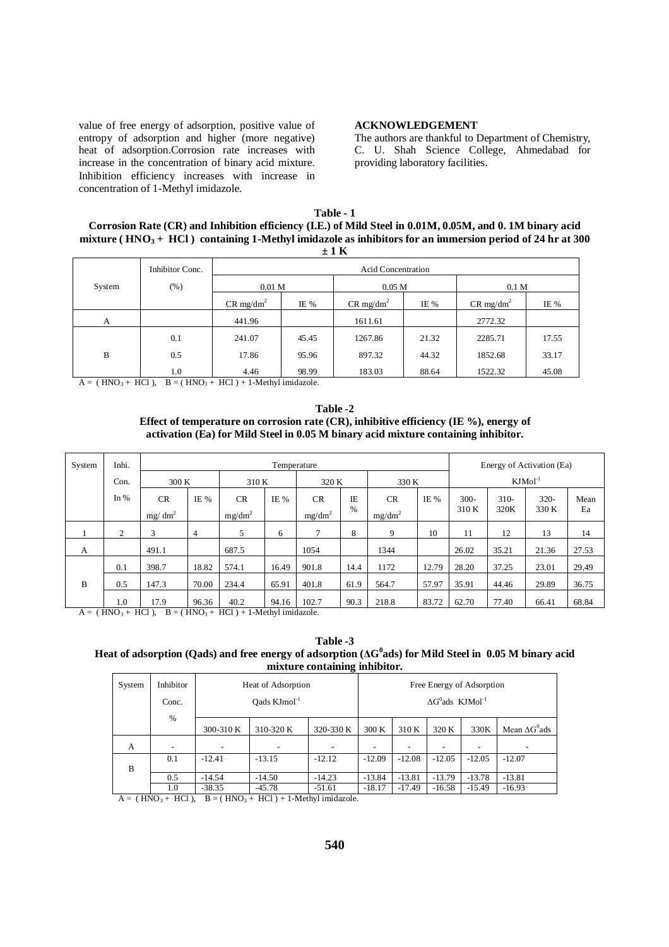value of free energy of adsorption, positive value of entropy of adsorption and higher (more negative) heat of adsorption.Corrosion rate increases with increase in the concentration of binary acid mixture. Inhibition efficiency increases with increase in concentration of 1-Methyl imidazole.

#### **ACKNOWLEDGEMENT**

The authors are thankful to Department of Chemistry, C. U. Shah Science College, Ahmedabad for providing laboratory facilities.

| Table - 1                                                                                                            |
|----------------------------------------------------------------------------------------------------------------------|
| Corrosion Rate (CR) and Inhibition efficiency (I.E.) of Mild Steel in 0.01M, 0.05M, and 0.1M binary acid             |
| mixture (HNO <sub>3</sub> + HCl) containing 1-Methyl imidazole as inhibitors for an immersion period of 24 hr at 300 |
| $+1K$                                                                                                                |

| - - - - |                 |                           |                   |                         |                  |                         |       |  |  |  |
|---------|-----------------|---------------------------|-------------------|-------------------------|------------------|-------------------------|-------|--|--|--|
|         | Inhibitor Conc. | <b>Acid Concentration</b> |                   |                         |                  |                         |       |  |  |  |
| System  | $(\%)$          | 0.01 <sub>M</sub>         | 0.05 <sub>M</sub> |                         | 0.1 <sub>M</sub> |                         |       |  |  |  |
|         |                 | $CR$ mg/dm <sup>2</sup>   | IE %              | $CR$ mg/dm <sup>2</sup> | IE %             | $CR$ mg/dm <sup>2</sup> | IE %  |  |  |  |
| А       |                 | 441.96                    |                   | 1611.61                 |                  | 2772.32                 |       |  |  |  |
|         | 0.1             | 241.07                    | 45.45             | 1267.86                 | 21.32            | 2285.71                 | 17.55 |  |  |  |
| B       | 0.5             | 17.86                     | 95.96             | 897.32                  | 44.32            | 1852.68                 | 33.17 |  |  |  |
|         | 1.0             | 4.46                      | 98.99             | 183.03                  | 88.64            | 1522.32                 | 45.08 |  |  |  |

 $A = (HNO<sub>3</sub> + HCl)$ ,  $B = (HNO<sub>3</sub> + HCl) + 1-Methyl imidazole$ .

**Table -2 Effect of temperature on corrosion rate (CR), inhibitive efficiency (IE %), energy of activation (Ea) for Mild Steel in 0.05 M binary acid mixture containing inhibitor.**

| System                                                                   | Inhi.  |           |       |           | Energy of Activation (Ea) |           |      |           |       |           |        |        |       |
|--------------------------------------------------------------------------|--------|-----------|-------|-----------|---------------------------|-----------|------|-----------|-------|-----------|--------|--------|-------|
|                                                                          | Con.   | 300K      |       | 310 K     |                           | 320 K     |      | 330 K     |       | $KJMol-1$ |        |        |       |
|                                                                          | In $%$ | <b>CR</b> | IE %  | <b>CR</b> | IE %                      | <b>CR</b> | IE   | <b>CR</b> | IE %  | $300 -$   | $310-$ | $320-$ | Mean  |
|                                                                          |        | $mg/dm^2$ |       | $mg/dm^2$ |                           | $mg/dm^2$ | %    | $mg/dm^2$ |       | 310 K     | 320K   | 330 K  | Ea    |
|                                                                          | 2      | 3         | 4     | 5         | 6                         | $\tau$    | 8    | 9         | 10    | 11        | 12     | 13     | 14    |
| A                                                                        |        | 491.1     |       | 687.5     |                           | 1054      |      | 1344      |       | 26.02     | 35.21  | 21.36  | 27.53 |
|                                                                          | 0.1    | 398.7     | 18.82 | 574.1     | 16.49                     | 901.8     | 14.4 | 1172      | 12.79 | 28.20     | 37.25  | 23.01  | 29.49 |
| B                                                                        | 0.5    | 147.3     | 70.00 | 234.4     | 65.91                     | 401.8     | 61.9 | 564.7     | 57.97 | 35.91     | 44.46  | 29.89  | 36.75 |
|                                                                          | 1.0    | 17.9      | 96.36 | 40.2      | 94.16                     | 102.7     | 90.3 | 218.8     | 83.72 | 62.70     | 77.40  | 66.41  | 68.84 |
| $B = (HNO3 + HCl) + 1$ -Methyl imidazole.<br>$(HNO3 + HCl)$ ,<br>$A = 0$ |        |           |       |           |                           |           |      |           |       |           |        |        |       |

**Table -3** Heat of adsorption (Qads) and free energy of adsorption (AG $^0$ ads) for Mild Steel in  $\,$  0.05 M binary acid **mixture containing inhibitor.**

| System | Inhibitor | Heat of Adsorption       | Free Energy of Adsorption            |           |          |          |                          |          |                       |
|--------|-----------|--------------------------|--------------------------------------|-----------|----------|----------|--------------------------|----------|-----------------------|
|        | Conc.     |                          | $\Delta G^0$ ads KJMol <sup>-1</sup> |           |          |          |                          |          |                       |
|        | $\%$      | 300-310 K                | 310-320 K                            | 320-330 K | 300K     | 310 K    | 320 K                    | 330K     | Mean $\Delta G^0$ ads |
| A      |           | $\overline{\phantom{a}}$ |                                      |           |          |          | $\overline{\phantom{0}}$ |          |                       |
| B      | 0.1       | $-12.41$                 | $-13.15$                             | $-12.12$  | $-12.09$ | $-12.08$ | $-12.05$                 | $-12.05$ | $-12.07$              |
|        | 0.5       | $-14.54$<br>$-14.50$     |                                      | $-14.23$  | $-13.84$ | $-13.81$ | $-13.79$                 | $-13.78$ | $-13.81$              |
|        | 1.0       | $-38.35$                 | $-18.17$                             | $-17.49$  | $-16.58$ | $-15.49$ | $-16.93$                 |          |                       |

 $A = (HNO<sub>3</sub> + HCl)$ ,  $B = (HNO<sub>3</sub> + HCl) + 1-Methyl imidazole.$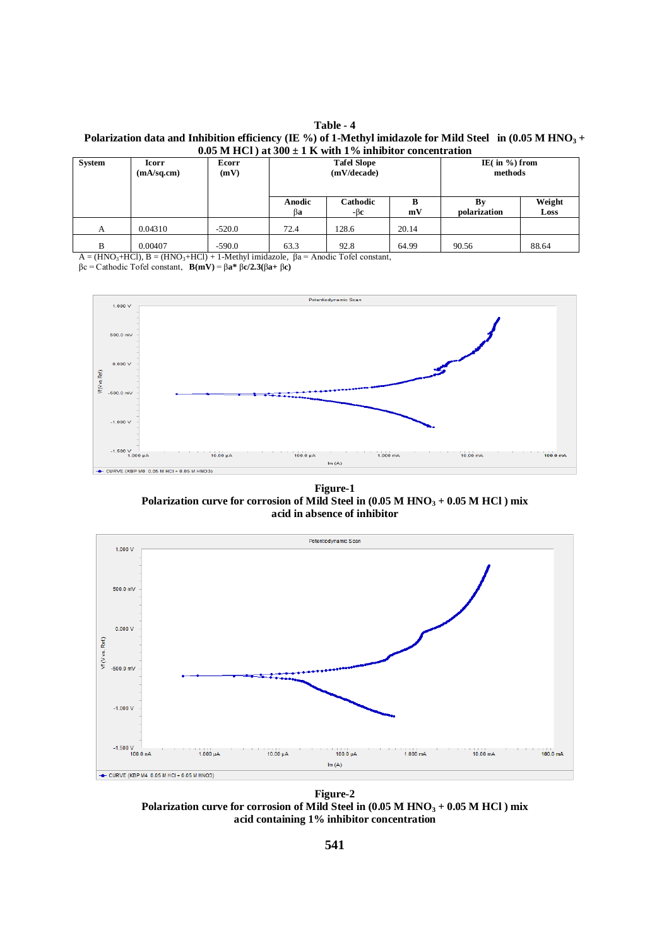**Table - 4** Polarization data and Inhibition efficiency (IE %) of 1-Methyl imidazole for Mild Steel in  $(0.05 M HNO<sub>3</sub> +$ **0.05 M HCl ) at 300 ± 1 K with 1% inhibitor concentration**

| $0.03$ in Tich / at $300 \pm 1$ K with T /0 minimitor concentration |                     |               |                                   |                 |                    |                               |       |  |  |  |
|---------------------------------------------------------------------|---------------------|---------------|-----------------------------------|-----------------|--------------------|-------------------------------|-------|--|--|--|
| System                                                              | Icorr<br>(mA/sq.cm) | Ecorr<br>(mV) | <b>Tafel Slope</b><br>(mV/decade) |                 |                    | IE( in $\%$ ) from<br>methods |       |  |  |  |
|                                                                     |                     |               | Anodic<br>ßа                      | Cathodic<br>-ßc | By<br>polarization | Weight<br>Loss                |       |  |  |  |
| A                                                                   | 0.04310             | $-520.0$      | 72.4                              | 128.6           | 20.14              |                               |       |  |  |  |
| B                                                                   | 0.00407             | $-590.0$      | 63.3                              | 92.8            | 64.99              | 90.56                         | 88.64 |  |  |  |

 $A = (HNO<sub>3</sub>+HCl), B = (HNO<sub>3</sub>+HCl) + 1-Methyl imidazole,  $\beta a = A$ nodei Tofel constant,$ βc = Cathodic Tofel constant, **B(mV)** = β**a\*** β**c/2.3(**β**a+** β**c)**

Potentiodynamic Scan



**Figure-1 Polarization curve for corrosion of Mild Steel in (0.05 M HNO<sup>3</sup> + 0.05 M HCl ) mix acid in absence of inhibitor**



**Figure-2 Polarization curve for corrosion of Mild Steel in (0.05 M HNO<sup>3</sup> + 0.05 M HCl ) mix acid containing 1% inhibitor concentration**